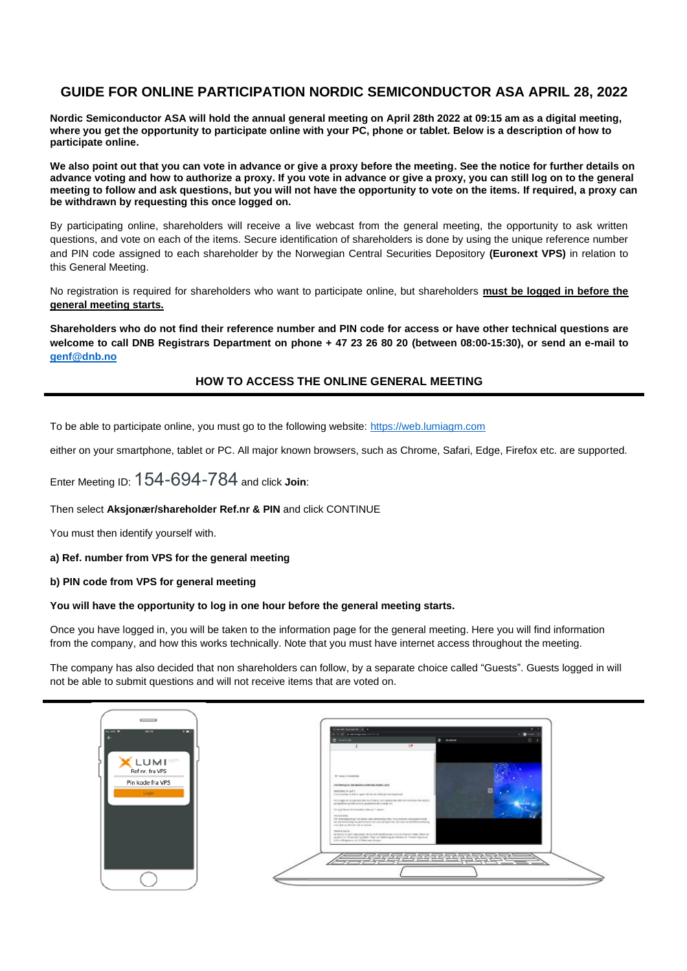## **GUIDE FOR ONLINE PARTICIPATION NORDIC SEMICONDUCTOR ASA APRIL 28, 2022**

**Nordic Semiconductor ASA will hold the annual general meeting on April 28th 2022 at 09:15 am as a digital meeting, where you get the opportunity to participate online with your PC, phone or tablet. Below is a description of how to participate online.**

**We also point out that you can vote in advance or give a proxy before the meeting. See the notice for further details on advance voting and how to authorize a proxy. If you vote in advance or give a proxy, you can still log on to the general meeting to follow and ask questions, but you will not have the opportunity to vote on the items. If required, a proxy can be withdrawn by requesting this once logged on.**

By participating online, shareholders will receive a live webcast from the general meeting, the opportunity to ask written questions, and vote on each of the items. Secure identification of shareholders is done by using the unique reference number and PIN code assigned to each shareholder by the Norwegian Central Securities Depository **(Euronext VPS)** in relation to this General Meeting.

No registration is required for shareholders who want to participate online, but shareholders **must be logged in before the general meeting starts.**

**Shareholders who do not find their reference number and PIN code for access or have other technical questions are welcome to call DNB Registrars Department on phone + 47 23 26 80 20 (between 08:00-15:30), or send an e-mail to [genf@dnb.no](mailto:genf@dnb.no)**

### **HOW TO ACCESS THE ONLINE GENERAL MEETING**

To be able to participate online, you must go to the following website: [https://web.lumiagm.com](https://web.lumiagm.com/)

either on your smartphone, tablet or PC. All major known browsers, such as Chrome, Safari, Edge, Firefox etc. are supported.

Enter Meeting ID: 154-694-784 and click **Join**:

Then select **Aksjonær/shareholder Ref.nr & PIN** and click CONTINUE

You must then identify yourself with.

**a) Ref. number from VPS for the general meeting**

**b) PIN code from VPS for general meeting**

#### **You will have the opportunity to log in one hour before the general meeting starts.**

Once you have logged in, you will be taken to the information page for the general meeting. Here you will find information from the company, and how this works technically. Note that you must have internet access throughout the meeting.

The company has also decided that non shareholders can follow, by a separate choice called "Guests". Guests logged in will not be able to submit questions and will not receive items that are voted on.